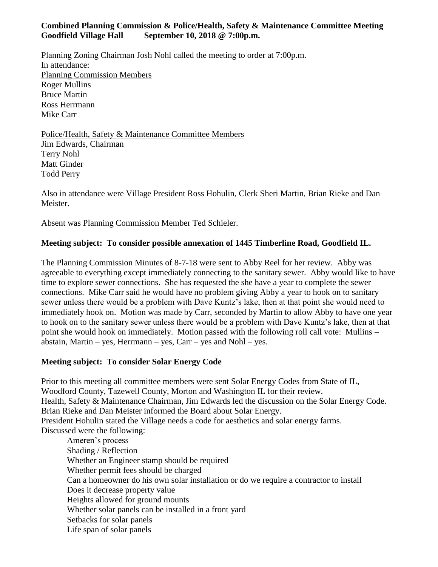## **Combined Planning Commission & Police/Health, Safety & Maintenance Committee Meeting Goodfield Village Hall September 10, 2018 @ 7:00p.m.**

Planning Zoning Chairman Josh Nohl called the meeting to order at 7:00p.m. In attendance: Planning Commission Members Roger Mullins Bruce Martin Ross Herrmann Mike Carr

Police/Health, Safety & Maintenance Committee Members Jim Edwards, Chairman Terry Nohl Matt Ginder Todd Perry

Also in attendance were Village President Ross Hohulin, Clerk Sheri Martin, Brian Rieke and Dan Meister.

Absent was Planning Commission Member Ted Schieler.

## **Meeting subject: To consider possible annexation of 1445 Timberline Road, Goodfield IL.**

The Planning Commission Minutes of 8-7-18 were sent to Abby Reel for her review. Abby was agreeable to everything except immediately connecting to the sanitary sewer. Abby would like to have time to explore sewer connections. She has requested the she have a year to complete the sewer connections. Mike Carr said he would have no problem giving Abby a year to hook on to sanitary sewer unless there would be a problem with Dave Kuntz's lake, then at that point she would need to immediately hook on. Motion was made by Carr, seconded by Martin to allow Abby to have one year to hook on to the sanitary sewer unless there would be a problem with Dave Kuntz's lake, then at that point she would hook on immediately. Motion passed with the following roll call vote: Mullins – abstain, Martin – yes, Herrmann – yes, Carr – yes and Nohl – yes.

## **Meeting subject: To consider Solar Energy Code**

Prior to this meeting all committee members were sent Solar Energy Codes from State of IL, Woodford County, Tazewell County, Morton and Washington IL for their review. Health, Safety & Maintenance Chairman, Jim Edwards led the discussion on the Solar Energy Code. Brian Rieke and Dan Meister informed the Board about Solar Energy. President Hohulin stated the Village needs a code for aesthetics and solar energy farms. Discussed were the following:

Ameren's process Shading / Reflection Whether an Engineer stamp should be required Whether permit fees should be charged Can a homeowner do his own solar installation or do we require a contractor to install Does it decrease property value Heights allowed for ground mounts Whether solar panels can be installed in a front yard Setbacks for solar panels Life span of solar panels